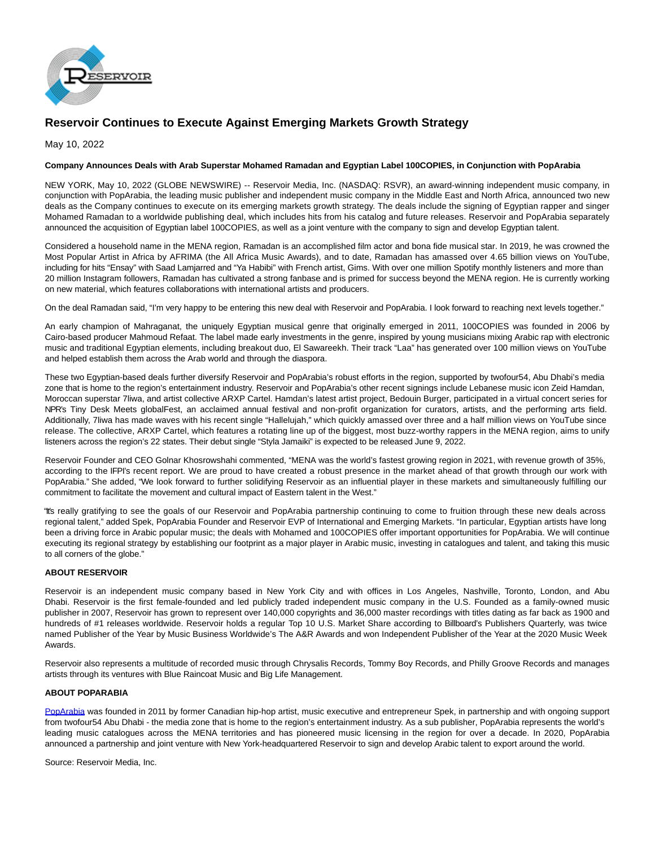

## **Reservoir Continues to Execute Against Emerging Markets Growth Strategy**

May 10, 2022

## **Company Announces Deals with Arab Superstar Mohamed Ramadan and Egyptian Label 100COPIES, in Conjunction with PopArabia**

NEW YORK, May 10, 2022 (GLOBE NEWSWIRE) -- Reservoir Media, Inc. (NASDAQ: RSVR), an award-winning independent music company, in conjunction with PopArabia, the leading music publisher and independent music company in the Middle East and North Africa, announced two new deals as the Company continues to execute on its emerging markets growth strategy. The deals include the signing of Egyptian rapper and singer Mohamed Ramadan to a worldwide publishing deal, which includes hits from his catalog and future releases. Reservoir and PopArabia separately announced the acquisition of Egyptian label 100COPIES, as well as a joint venture with the company to sign and develop Egyptian talent.

Considered a household name in the MENA region, Ramadan is an accomplished film actor and bona fide musical star. In 2019, he was crowned the Most Popular Artist in Africa by AFRIMA (the All Africa Music Awards), and to date, Ramadan has amassed over 4.65 billion views on YouTube, including for hits "Ensay" with Saad Lamjarred and "Ya Habibi" with French artist, Gims. With over one million Spotify monthly listeners and more than 20 million Instagram followers, Ramadan has cultivated a strong fanbase and is primed for success beyond the MENA region. He is currently working on new material, which features collaborations with international artists and producers.

On the deal Ramadan said, "I'm very happy to be entering this new deal with Reservoir and PopArabia. I look forward to reaching next levels together."

An early champion of Mahraganat, the uniquely Egyptian musical genre that originally emerged in 2011, 100COPIES was founded in 2006 by Cairo-based producer Mahmoud Refaat. The label made early investments in the genre, inspired by young musicians mixing Arabic rap with electronic music and traditional Egyptian elements, including breakout duo, El Sawareekh. Their track "Laa" has generated over 100 million views on YouTube and helped establish them across the Arab world and through the diaspora.

These two Egyptian-based deals further diversify Reservoir and PopArabia's robust efforts in the region, supported by twofour54, Abu Dhabi's media zone that is home to the region's entertainment industry. Reservoir and PopArabia's other recent signings include Lebanese music icon Zeid Hamdan, Moroccan superstar 7liwa, and artist collective ARXP Cartel. Hamdan's latest artist project, Bedouin Burger, participated in a virtual concert series for NPR's Tiny Desk Meets globalFest, an acclaimed annual festival and non-profit organization for curators, artists, and the performing arts field. Additionally, 7liwa has made waves with his recent single "Hallelujah," which quickly amassed over three and a half million views on YouTube since release. The collective, ARXP Cartel, which features a rotating line up of the biggest, most buzz-worthy rappers in the MENA region, aims to unify listeners across the region's 22 states. Their debut single "Styla Jamaiki" is expected to be released June 9, 2022.

Reservoir Founder and CEO Golnar Khosrowshahi commented, "MENA was the world's fastest growing region in 2021, with revenue growth of 35%, according to the IFPI's recent report. We are proud to have created a robust presence in the market ahead of that growth through our work with PopArabia." She added, "We look forward to further solidifying Reservoir as an influential player in these markets and simultaneously fulfilling our commitment to facilitate the movement and cultural impact of Eastern talent in the West."

"It's really gratifying to see the goals of our Reservoir and PopArabia partnership continuing to come to fruition through these new deals across regional talent," added Spek, PopArabia Founder and Reservoir EVP of International and Emerging Markets. "In particular, Egyptian artists have long been a driving force in Arabic popular music; the deals with Mohamed and 100COPIES offer important opportunities for PopArabia. We will continue executing its regional strategy by establishing our footprint as a major player in Arabic music, investing in catalogues and talent, and taking this music to all corners of the globe."

## **ABOUT RESERVOIR**

Reservoir is an independent music company based in New York City and with offices in Los Angeles, Nashville, Toronto, London, and Abu Dhabi. Reservoir is the first female-founded and led publicly traded independent music company in the U.S. Founded as a family-owned music publisher in 2007, Reservoir has grown to represent over 140,000 copyrights and 36,000 master recordings with titles dating as far back as 1900 and hundreds of #1 releases worldwide. Reservoir holds a regular Top 10 U.S. Market Share according to Billboard's Publishers Quarterly, was twice named Publisher of the Year by Music Business Worldwide's The A&R Awards and won Independent Publisher of the Year at the 2020 Music Week Awards.

Reservoir also represents a multitude of recorded music through Chrysalis Records, Tommy Boy Records, and Philly Groove Records and manages artists through its ventures with Blue Raincoat Music and Big Life Management.

## **ABOUT POPARABIA**

[PopArabia w](https://www.globenewswire.com/Tracker?data=VotWpmNOOuRMls94Y1zOdgYl6Wn7qUG9QNOo2KaxYChhb3MNoBbsAMuW7dnzO2LQpQHD_owVqbdvKS-nbYXbIhlravK7QLwQQdq7yR2C3cOm1io2jQiubGJX2lSl-iS6q6Os5ZjfjHEBSdkHPozI2gJP-VswyEJbRj6nS4c86525ToIONFxI9PSb2yC2y8-qs1RvIlHTr_Crg66YNSKoE2oRbYCgOOGXeH2MdMO6Bx9P2b479C5D4bJo24CeDeAv2frAj5c73HNodR96kOK8q_vbhqriDeaGisJftkAbPDuhVQ4L0mhZqJkUNh0hixFq)as founded in 2011 by former Canadian hip-hop artist, music executive and entrepreneur Spek, in partnership and with ongoing support from twofour54 Abu Dhabi - the media zone that is home to the region's entertainment industry. As a sub publisher, PopArabia represents the world's leading music catalogues across the MENA territories and has pioneered music licensing in the region for over a decade. In 2020, PopArabia announced a partnership and joint venture with New York-headquartered Reservoir to sign and develop Arabic talent to export around the world.

Source: Reservoir Media, Inc.